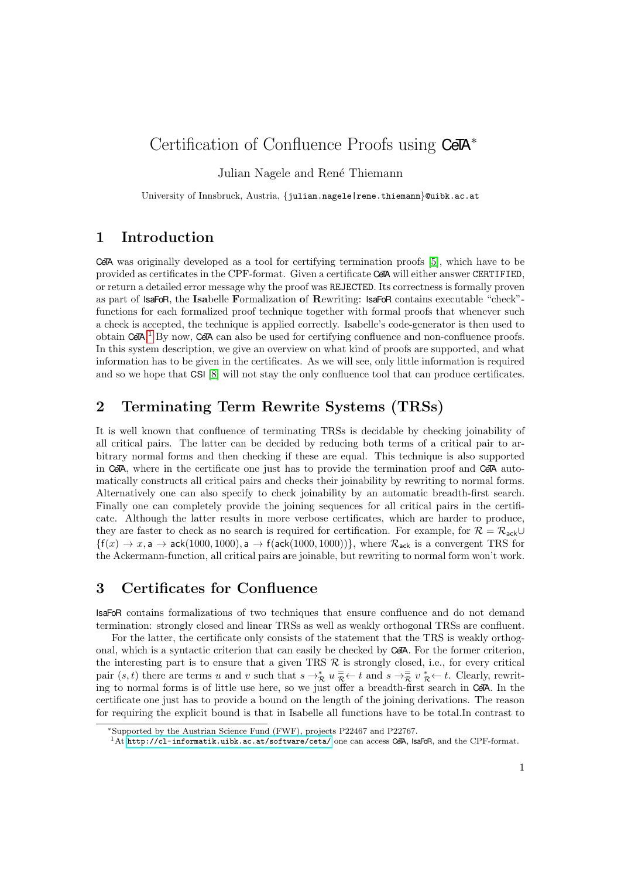# Certification of Confluence Proofs using **CeTA**<sup>∗</sup>

Julian Nagele and René Thiemann

University of Innsbruck, Austria, {julian.nagele|rene.thiemann}@uibk.ac.at

# 1 Introduction

CeTA was originally developed as a tool for certifying termination proofs [\[5\]](#page-4-0), which have to be provided as certificates in the CPF-format. Given a certificate CeTA will either answer CERTIFIED, or return a detailed error message why the proof was REJECTED. Its correctness is formally proven as part of IsaFoR, the Isabelle Formalization of Rewriting: IsaFoR contains executable "check" functions for each formalized proof technique together with formal proofs that whenever such a check is accepted, the technique is applied correctly. Isabelle's code-generator is then used to obtain CeTA.<sup>[1](#page-0-0)</sup> By now, CeTA can also be used for certifying confluence and non-confluence proofs. In this system description, we give an overview on what kind of proofs are supported, and what information has to be given in the certificates. As we will see, only little information is required and so we hope that CSI [\[8\]](#page-4-1) will not stay the only confluence tool that can produce certificates.

# <span id="page-0-1"></span>2 Terminating Term Rewrite Systems (TRSs)

It is well known that confluence of terminating TRSs is decidable by checking joinability of all critical pairs. The latter can be decided by reducing both terms of a critical pair to arbitrary normal forms and then checking if these are equal. This technique is also supported in CeTA, where in the certificate one just has to provide the termination proof and CeTA automatically constructs all critical pairs and checks their joinability by rewriting to normal forms. Alternatively one can also specify to check joinability by an automatic breadth-first search. Finally one can completely provide the joining sequences for all critical pairs in the certificate. Although the latter results in more verbose certificates, which are harder to produce, they are faster to check as no search is required for certification. For example, for  $\mathcal{R} = \mathcal{R}_{ack}$  ${f(x) \rightarrow x, a \rightarrow \text{ack}(1000, 1000), a \rightarrow f(\text{ack}(1000, 1000))}$ , where  $\mathcal{R}_{\text{ack}}$  is a convergent TRS for the Ackermann-function, all critical pairs are joinable, but rewriting to normal form won't work.

# 3 Certificates for Confluence

IsaFoR contains formalizations of two techniques that ensure confluence and do not demand termination: strongly closed and linear TRSs as well as weakly orthogonal TRSs are confluent.

For the latter, the certificate only consists of the statement that the TRS is weakly orthogonal, which is a syntactic criterion that can easily be checked by CeTA. For the former criterion, the interesting part is to ensure that a given TRS  $R$  is strongly closed, i.e., for every critical pair  $(s, t)$  there are terms u and v such that  $s \to_{\mathcal{R}}^* u \overline{\mathcal{R}} \leftarrow t$  and  $s \to_{\mathcal{R}}^* v \mathcal{R} \leftarrow t$ . Clearly, rewriting to normal forms is of little use here, so we just offer a breadth-first search in CeTA. In the certificate one just has to provide a bound on the length of the joining derivations. The reason for requiring the explicit bound is that in Isabelle all functions have to be total.In contrast to

<sup>∗</sup>Supported by the Austrian Science Fund (FWF), projects P22467 and P22767.

<span id="page-0-0"></span> $1\text{At }$ <http://cl-informatik.uibk.ac.at/software/ceta/> one can access CeTA, IsaFoR, and the CPF-format.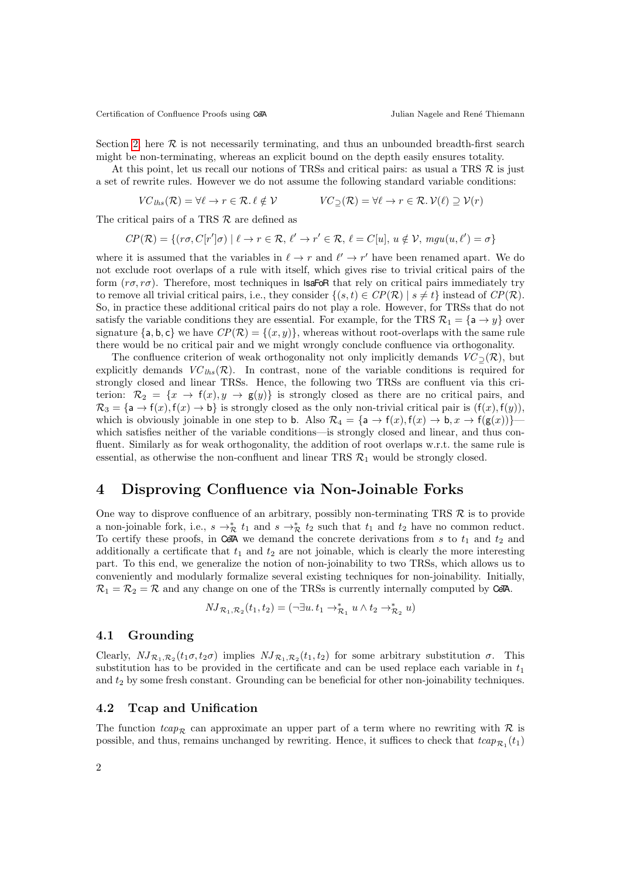Certification of Confluence Proofs using CeTA Julian Nagele and Ren´e Thiemann

Section [2,](#page-0-1) here  $R$  is not necessarily terminating, and thus an unbounded breadth-first search might be non-terminating, whereas an explicit bound on the depth easily ensures totality.

At this point, let us recall our notions of TRSs and critical pairs: as usual a TRS  $\mathcal{R}$  is just a set of rewrite rules. However we do not assume the following standard variable conditions:

$$
VC_{\text{lls}}(\mathcal{R}) = \forall \ell \to r \in \mathcal{R}, \ell \notin \mathcal{V} \qquad \qquad VC_{\supseteq}(\mathcal{R}) = \forall \ell \to r \in \mathcal{R}. \mathcal{V}(\ell) \supseteq \mathcal{V}(r)
$$

The critical pairs of a TRS  $R$  are defined as

$$
CP(\mathcal{R}) = \{ (r\sigma, C[r']\sigma) \mid \ell \to r \in \mathcal{R}, \ell' \to r' \in \mathcal{R}, \ell = C[u], u \notin \mathcal{V}, \, mgu(u, \ell') = \sigma \}
$$

where it is assumed that the variables in  $\ell \to r$  and  $\ell' \to r'$  have been renamed apart. We do not exclude root overlaps of a rule with itself, which gives rise to trivial critical pairs of the form  $(r\sigma, r\sigma)$ . Therefore, most techniques in **IsaFoR** that rely on critical pairs immediately try to remove all trivial critical pairs, i.e., they consider  $\{(s,t) \in CP(\mathcal{R}) \mid s \neq t\}$  instead of  $CP(\mathcal{R})$ . So, in practice these additional critical pairs do not play a role. However, for TRSs that do not satisfy the variable conditions they are essential. For example, for the TRS  $\mathcal{R}_1 = \{a \rightarrow y\}$  over signature  $\{a, b, c\}$  we have  $\mathbb{CP}(\mathcal{R}) = \{(x, y)\}\$ , whereas without root-overlaps with the same rule there would be no critical pair and we might wrongly conclude confluence via orthogonality.

The confluence criterion of weak orthogonality not only implicitly demands  $VC_(\mathcal{R})$ , but explicitly demands  $VC_{\text{ths}}(\mathcal{R})$ . In contrast, none of the variable conditions is required for strongly closed and linear TRSs. Hence, the following two TRSs are confluent via this criterion:  $\mathcal{R}_2 = \{x \to f(x), y \to g(y)\}\$ is strongly closed as there are no critical pairs, and  $\mathcal{R}_3 = {\mathsf{a} \to \mathsf{f}(x), \mathsf{f}(x) \to \mathsf{b}}$  is strongly closed as the only non-trivial critical pair is  $(\mathsf{f}(x), \mathsf{f}(y)),$ which is obviously joinable in one step to b. Also  $\mathcal{R}_4 = \{a \to f(x), f(x) \to b, x \to f(g(x))\}$ which satisfies neither of the variable conditions—is strongly closed and linear, and thus confluent. Similarly as for weak orthogonality, the addition of root overlaps w.r.t. the same rule is essential, as otherwise the non-confluent and linear TRS  $\mathcal{R}_1$  would be strongly closed.

### 4 Disproving Confluence via Non-Joinable Forks

One way to disprove confluence of an arbitrary, possibly non-terminating TRS  $R$  is to provide a non-joinable fork, i.e.,  $s \to_{\mathcal{R}}^* t_1$  and  $s \to_{\mathcal{R}}^* t_2$  such that  $t_1$  and  $t_2$  have no common reduct. To certify these proofs, in CeTA we demand the concrete derivations from s to  $t_1$  and  $t_2$  and additionally a certificate that  $t_1$  and  $t_2$  are not joinable, which is clearly the more interesting part. To this end, we generalize the notion of non-joinability to two TRSs, which allows us to conveniently and modularly formalize several existing techniques for non-joinability. Initially,  $\mathcal{R}_1 = \mathcal{R}_2 = \mathcal{R}$  and any change on one of the TRSs is currently internally computed by CeTA.

$$
NJ_{\mathcal{R}_1,\mathcal{R}_2}(t_1,t_2)=(\neg \exists u \ldotp t_1 \rightarrow_{\mathcal{R}_1}^* u \land t_2 \rightarrow_{\mathcal{R}_2}^* u)
$$

#### 4.1 Grounding

Clearly,  $NJ_{\mathcal{R}_1,\mathcal{R}_2}(t_1\sigma,t_2\sigma)$  implies  $NJ_{\mathcal{R}_1,\mathcal{R}_2}(t_1,t_2)$  for some arbitrary substitution  $\sigma$ . This substitution has to be provided in the certificate and can be used replace each variable in  $t_1$ and  $t_2$  by some fresh constant. Grounding can be beneficial for other non-joinability techniques.

#### 4.2 Tcap and Unification

The function  $tcap_R$  can approximate an upper part of a term where no rewriting with R is possible, and thus, remains unchanged by rewriting. Hence, it suffices to check that  $tcap_{\mathcal{R}_1}(t_1)$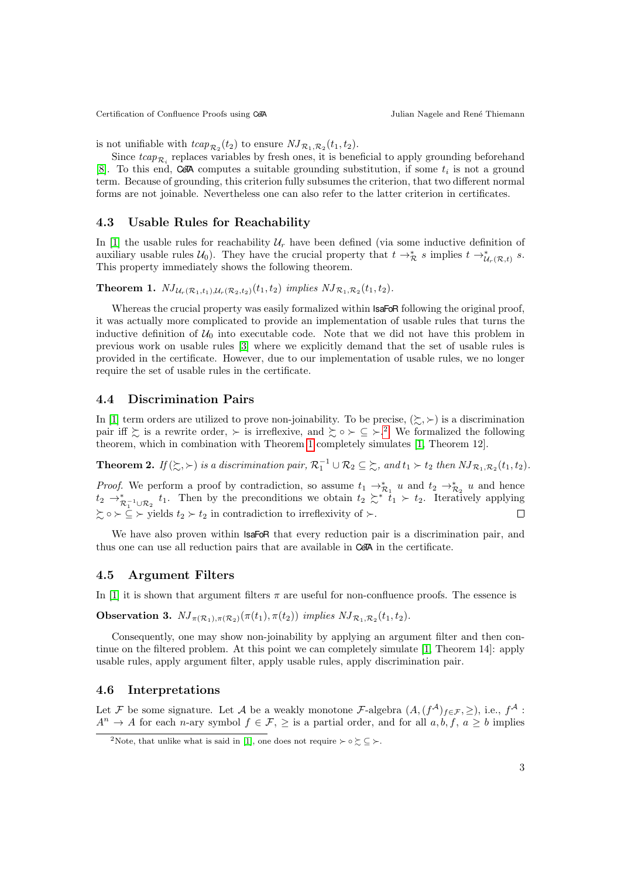Certification of Confluence Proofs using CeTA Julian Nagele and René Thiemann

is not unifiable with  $tcap_{\mathcal{R}_2}(t_2)$  to ensure  $NJ_{\mathcal{R}_1,\mathcal{R}_2}(t_1,t_2)$ .

Since  $\text{tcap}_{\mathcal{R}_i}$  replaces variables by fresh ones, it is beneficial to apply grounding beforehand [\[8\]](#page-4-1). To this end, CHA computes a suitable grounding substitution, if some  $t_i$  is not a ground term. Because of grounding, this criterion fully subsumes the criterion, that two different normal forms are not joinable. Nevertheless one can also refer to the latter criterion in certificates.

#### 4.3 Usable Rules for Reachability

In [\[1\]](#page-4-2) the usable rules for reachability  $\mathcal{U}_r$  have been defined (via some inductive definition of auxiliary usable rules  $U_0$ ). They have the crucial property that  $t \to_{\mathcal{R}}^* s$  implies  $t \to_{\mathcal{U}_r(\mathcal{R},t)}^* s$ . This property immediately shows the following theorem.

<span id="page-2-1"></span>**Theorem 1.**  $NJ_{\mathcal{U}_r(\mathcal{R}_1,t_1),\mathcal{U}_r(\mathcal{R}_2,t_2)}(t_1,t_2)$  implies  $NJ_{\mathcal{R}_1,\mathcal{R}_2}(t_1,t_2)$ .

Whereas the crucial property was easily formalized within  $IsaF\circ R$  following the original proof, it was actually more complicated to provide an implementation of usable rules that turns the inductive definition of  $\mathcal{U}_0$  into executable code. Note that we did not have this problem in previous work on usable rules [\[3\]](#page-4-3) where we explicitly demand that the set of usable rules is provided in the certificate. However, due to our implementation of usable rules, we no longer require the set of usable rules in the certificate.

#### 4.4 Discrimination Pairs

In [\[1\]](#page-4-2) term orders are utilized to prove non-joinability. To be precise,  $(\succsim, \succ)$  is a discrimination pair iff  $\succsim$  is a rewrite order,  $\succ$  is irreflexive, and  $\succsim \circ \succ \subseteq \succ$ .<sup>[2](#page-2-0)</sup> We formalized the following theorem, which in combination with Theorem [1](#page-2-1) completely simulates [\[1,](#page-4-2) Theorem 12].

<span id="page-2-2"></span>**Theorem 2.** If  $(\succsim, \succ)$  is a discrimination pair,  $\mathcal{R}_1^{-1} \cup \mathcal{R}_2 \subseteq \succsim$ , and  $t_1 \succ t_2$  then  $NJ_{\mathcal{R}_1, \mathcal{R}_2}(t_1, t_2)$ .

*Proof.* We perform a proof by contradiction, so assume  $t_1 \rightarrow_{\mathcal{R}_1}^* u$  and  $t_2 \rightarrow_{\mathcal{R}_2}^* u$  and hence  $t_2 \rightarrow_{\mathcal{R}_1^{-1} \cup \mathcal{R}_2}^* t_1$ . Then by the preconditions we obtain  $t_2 \geq^* t_1 \succ t_2$ . Iteratively applying  $\zeta \circ \zeta \subseteq \zeta$  yields  $t_2 \succ t_2$  in contradiction to irreflexivity of  $\succ$ .  $\Box$ 

We have also proven within  $IsaFoR$  that every reduction pair is a discrimination pair, and thus one can use all reduction pairs that are available in CeTA in the certificate.

#### 4.5 Argument Filters

In [\[1\]](#page-4-2) it is shown that argument filters  $\pi$  are useful for non-confluence proofs. The essence is

<span id="page-2-3"></span>**Observation 3.**  $NJ_{\pi(\mathcal{R}_1), \pi(\mathcal{R}_2)}(\pi(t_1), \pi(t_2))$  implies  $NJ_{\mathcal{R}_1, \mathcal{R}_2}(t_1, t_2)$ .

Consequently, one may show non-joinability by applying an argument filter and then continue on the filtered problem. At this point we can completely simulate [\[1,](#page-4-2) Theorem 14]: apply usable rules, apply argument filter, apply usable rules, apply discrimination pair.

#### 4.6 Interpretations

Let F be some signature. Let A be a weakly monotone F-algebra  $(A, (f^{\mathcal{A}})_{f \in \mathcal{F}}, \geq),$  i.e.,  $f^{\mathcal{A}}$ :  $A^n \to A$  for each n-ary symbol  $f \in \mathcal{F}, \geq$  is a partial order, and for all  $a, b, f, a \geq b$  implies

<span id="page-2-0"></span><sup>&</sup>lt;sup>2</sup>Note, that unlike what is said in [\[1\]](#page-4-2), one does not require  $\succ \circ \succcurlyeq \subset \succ$ .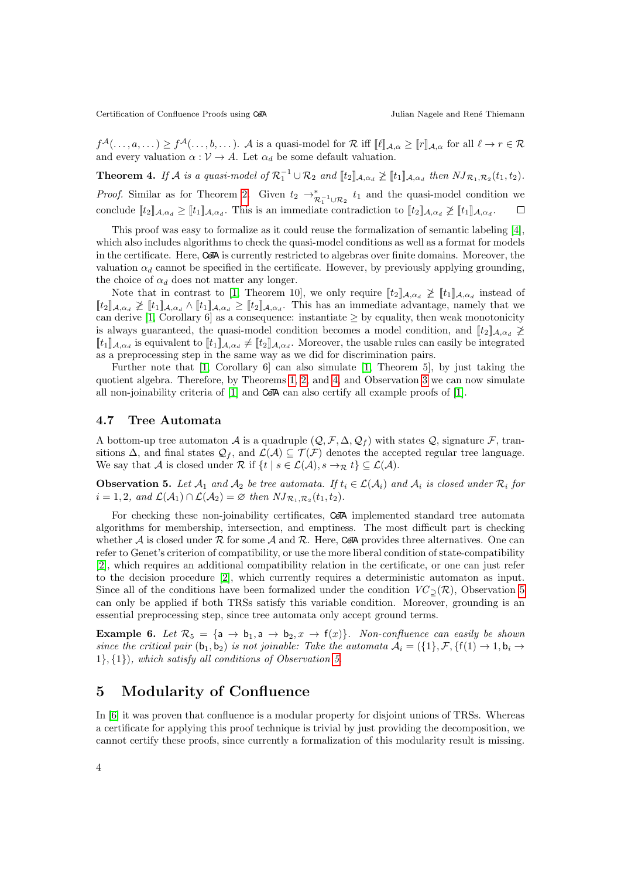Certification of Confluence Proofs using CeTA Julian Nagele and Ren´e Thiemann

 $f^{\mathcal{A}}(\ldots, a, \ldots) \geq f^{\mathcal{A}}(\ldots, b, \ldots).$  A is a quasi-model for R iff  $[\![\ell]\!]_{\mathcal{A},\alpha} \geq [\![r]\!]_{\mathcal{A},\alpha}$  for all  $\ell \to r \in \mathcal{R}$ and every valuation  $\alpha : \mathcal{V} \to A$ . Let  $\alpha_d$  be some default valuation.

<span id="page-3-0"></span>**Theorem 4.** If A is a quasi-model of  $\mathcal{R}_1^{-1} \cup \mathcal{R}_2$  and  $[\![t_2]\!]_{\mathcal{A},\alpha_d} \not\geq [\![t_1]\!]_{\mathcal{A},\alpha_d}$  then  $NJ_{\mathcal{R}_1,\mathcal{R}_2}(t_1,t_2)$ . *Proof.* Similar as for Theorem [2.](#page-2-2) Given  $t_2 \to_{\mathcal{R}_1^{-1} \cup \mathcal{R}_2}^* t_1$  and the quasi-model condition we

conclude  $[\![t_2]\!]_{\mathcal{A},\alpha_d} \geq [\![t_1]\!]_{\mathcal{A},\alpha_d}$ . This is an immediate contradiction to  $[\![t_2]\!]_{\mathcal{A},\alpha_d} \ngeq [\![t_1]\!]_{\mathcal{A},\alpha_d}$ .  $\Box$ 

This proof was easy to formalize as it could reuse the formalization of semantic labeling [\[4\]](#page-4-4), which also includes algorithms to check the quasi-model conditions as well as a format for models in the certificate. Here, CeTA is currently restricted to algebras over finite domains. Moreover, the valuation  $\alpha_d$  cannot be specified in the certificate. However, by previously applying grounding, the choice of  $\alpha_d$  does not matter any longer.

Note that in contrast to [\[1,](#page-4-2) Theorem 10], we only require  $[[t_2]]_{A,\alpha_d} \not\geq [[t_1]]_{A,\alpha_d}$  instead of  $[[t_2]]_{\mathcal{A},\alpha_d} \not\geq [[t_1]]_{\mathcal{A},\alpha_d} \geq [[t_2]]_{\mathcal{A},\alpha_d}$ . This has an immediate advantage, namely that we can derive [\[1,](#page-4-2) Corollary 6] as a consequence: instantiate  $\geq$  by equality, then weak monotonicity is always guaranteed, the quasi-model condition becomes a model condition, and  $[\![t_2]\!]_{A,\alpha_d} \not\geq$  $[\![t_1]\!]_{\mathcal{A},\alpha_d}$  is equivalent to  $[\![t_1]\!]_{\mathcal{A},\alpha_d} \neq [\![t_2]\!]_{\mathcal{A},\alpha_d}$ . Moreover, the usable rules can easily be integrated as a preprocessing step in the same way as we did for discrimination pairs.

Further note that [\[1,](#page-4-2) Corollary 6] can also simulate [\[1,](#page-4-2) Theorem 5], by just taking the quotient algebra. Therefore, by Theorems [1,](#page-2-1) [2,](#page-2-2) and [4,](#page-3-0) and Observation [3](#page-2-3) we can now simulate all non-joinability criteria of  $[1]$  and  $Ce\mathbb{R}$  can also certify all example proofs of  $[1]$ .

#### 4.7 Tree Automata

A bottom-up tree automaton A is a quadruple  $(Q, \mathcal{F}, \Delta, Q_f)$  with states Q, signature F, transitions  $\Delta$ , and final states  $\mathcal{Q}_f$ , and  $\mathcal{L}(\mathcal{A}) \subseteq \mathcal{T}(\mathcal{F})$  denotes the accepted regular tree language. We say that A is closed under R if  $\{t \mid s \in \mathcal{L}(\mathcal{A}), s \to_{\mathcal{R}} t\} \subseteq \mathcal{L}(\mathcal{A})$ .

<span id="page-3-1"></span>**Observation 5.** Let  $A_1$  and  $A_2$  be tree automata. If  $t_i \in \mathcal{L}(A_i)$  and  $A_i$  is closed under  $\mathcal{R}_i$  for  $i = 1, 2, \text{ and } \mathcal{L}(\mathcal{A}_1) \cap \mathcal{L}(\mathcal{A}_2) = \varnothing \text{ then } NJ_{\mathcal{R}_1, \mathcal{R}_2}(t_1, t_2).$ 

For checking these non-joinability certificates, CeTA implemented standard tree automata algorithms for membership, intersection, and emptiness. The most difficult part is checking whether  $A$  is closed under  $R$  for some  $A$  and  $R$ . Here, CeTA provides three alternatives. One can refer to Genet's criterion of compatibility, or use the more liberal condition of state-compatibility [\[2\]](#page-4-5), which requires an additional compatibility relation in the certificate, or one can just refer to the decision procedure [\[2\]](#page-4-5), which currently requires a deterministic automaton as input. Since all of the conditions have been formalized under the condition  $VC_{\supset}(\mathcal{R})$ , Observation [5](#page-3-1) can only be applied if both TRSs satisfy this variable condition. Moreover, grounding is an essential preprocessing step, since tree automata only accept ground terms.

<span id="page-3-2"></span>**Example 6.** Let  $\mathcal{R}_5 = \{a \to b_1, a \to b_2, x \to f(x)\}\$ . Non-confluence can easily be shown since the critical pair  $(b_1, b_2)$  is not joinable: Take the automata  $A_i = (\{1\}, \mathcal{F}, \{f(1) \to 1, b_i \to 1\})$ 1}, {1}), which satisfy all conditions of Observation [5.](#page-3-1)

# 5 Modularity of Confluence

In [\[6\]](#page-4-6) it was proven that confluence is a modular property for disjoint unions of TRSs. Whereas a certificate for applying this proof technique is trivial by just providing the decomposition, we cannot certify these proofs, since currently a formalization of this modularity result is missing.